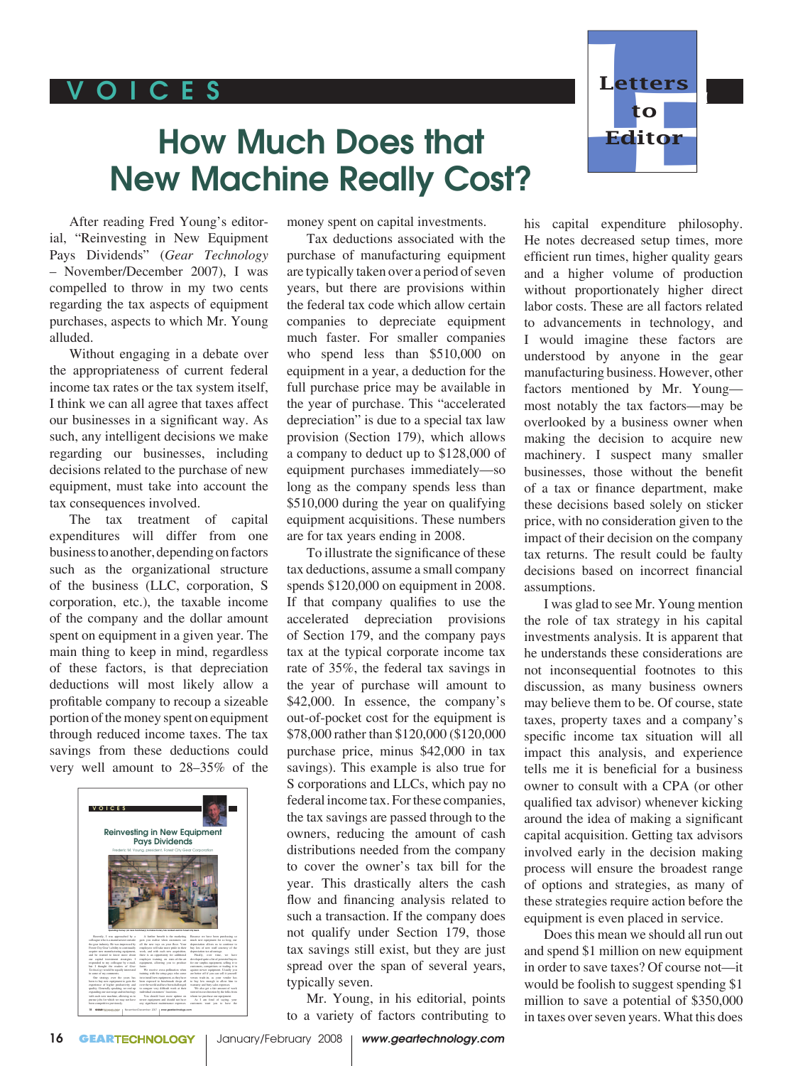## V O I C E S



## How Much Does that New Machine Really Cost?

After reading Fred Young's editorial, "Reinvesting in New Equipment Pays Dividends" (*Gear Technology* – November/December 2007), I was compelled to throw in my two cents regarding the tax aspects of equipment purchases, aspects to which Mr. Young alluded.

Without engaging in a debate over the appropriateness of current federal income tax rates or the tax system itself, I think we can all agree that taxes affect our businesses in a significant way. As such, any intelligent decisions we make regarding our businesses, including decisions related to the purchase of new equipment, must take into account the tax consequences involved.

The tax treatment of capital expenditures will differ from one business to another, depending on factors such as the organizational structure of the business (LLC, corporation, S corporation, etc.), the taxable income of the company and the dollar amount spent on equipment in a given year. The main thing to keep in mind, regardless of these factors, is that depreciation deductions will most likely allow a profitable company to recoup a sizeable portion of the money spent on equipment through reduced income taxes. The tax savings from these deductions could very well amount to 28–35% of the



money spent on capital investments.

Tax deductions associated with the purchase of manufacturing equipment are typically taken over a period of seven years, but there are provisions within the federal tax code which allow certain companies to depreciate equipment much faster. For smaller companies who spend less than \$510,000 on equipment in a year, a deduction for the full purchase price may be available in the year of purchase. This "accelerated depreciation" is due to a special tax law provision (Section 179), which allows a company to deduct up to \$128,000 of equipment purchases immediately—so long as the company spends less than \$510,000 during the year on qualifying equipment acquisitions. These numbers are for tax years ending in 2008.

To illustrate the significance of these tax deductions, assume a small company spends \$120,000 on equipment in 2008. If that company qualifies to use the accelerated depreciation provisions of Section 179, and the company pays tax at the typical corporate income tax rate of 35%, the federal tax savings in the year of purchase will amount to \$42,000. In essence, the company's out-of-pocket cost for the equipment is \$78,000 rather than \$120,000 (\$120,000 purchase price, minus \$42,000 in tax savings). This example is also true for S corporations and LLCs, which pay no federal income tax. For these companies, the tax savings are passed through to the owners, reducing the amount of cash distributions needed from the company to cover the owner's tax bill for the year. This drastically alters the cash flow and financing analysis related to such a transaction. If the company does not qualify under Section 179, those tax savings still exist, but they are just spread over the span of several years, typically seven.

Mr. Young, in his editorial, points to a variety of factors contributing to his capital expenditure philosophy. He notes decreased setup times, more efficient run times, higher quality gears and a higher volume of production without proportionately higher direct labor costs. These are all factors related to advancements in technology, and I would imagine these factors are understood by anyone in the gear manufacturing business. However, other factors mentioned by Mr. Young most notably the tax factors—may be overlooked by a business owner when making the decision to acquire new machinery. I suspect many smaller businesses, those without the benefit of a tax or finance department, make these decisions based solely on sticker price, with no consideration given to the impact of their decision on the company tax returns. The result could be faulty decisions based on incorrect financial assumptions.

I was glad to see Mr. Young mention the role of tax strategy in his capital investments analysis. It is apparent that he understands these considerations are not inconsequential footnotes to this discussion, as many business owners may believe them to be. Of course, state taxes, property taxes and a company's specific income tax situation will all impact this analysis, and experience tells me it is beneficial for a business owner to consult with a CPA (or other qualified tax advisor) whenever kicking around the idea of making a significant capital acquisition. Getting tax advisors involved early in the decision making process will ensure the broadest range of options and strategies, as many of these strategies require action before the equipment is even placed in service.

Does this mean we should all run out and spend \$1 million on new equipment in order to save taxes? Of course not—it would be foolish to suggest spending \$1 million to save a potential of \$350,000 in taxes over seven years. What this does